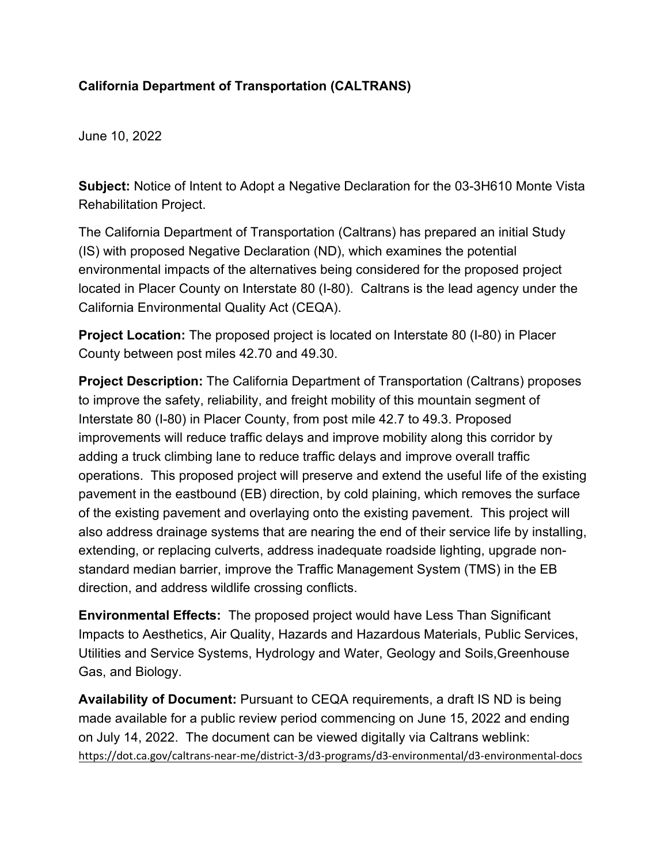## **California Department of Transportation (CALTRANS)**

June 10, 2022

**Subject:** Notice of Intent to Adopt a Negative Declaration for the 03-3H610 Monte Vista Rehabilitation Project.

The California Department of Transportation (Caltrans) has prepared an initial Study (IS) with proposed Negative Declaration (ND), which examines the potential environmental impacts of the alternatives being considered for the proposed project located in Placer County on Interstate 80 (I-80). Caltrans is the lead agency under the California Environmental Quality Act (CEQA).

**Project Location:** The proposed project is located on Interstate 80 (I-80) in Placer County between post miles 42.70 and 49.30.

**Project Description:** The California Department of Transportation (Caltrans) proposes to improve the safety, reliability, and freight mobility of this mountain segment of Interstate 80 (I-80) in Placer County, from post mile 42.7 to 49.3. Proposed improvements will reduce traffic delays and improve mobility along this corridor by adding a truck climbing lane to reduce traffic delays and improve overall traffic operations. This proposed project will preserve and extend the useful life of the existing pavement in the eastbound (EB) direction, by cold plaining, which removes the surface of the existing pavement and overlaying onto the existing pavement. This project will also address drainage systems that are nearing the end of their service life by installing, extending, or replacing culverts, address inadequate roadside lighting, upgrade nonstandard median barrier, improve the Traffic Management System (TMS) in the EB direction, and address wildlife crossing conflicts.

**Environmental Effects:** The proposed project would have Less Than Significant Impacts to Aesthetics, Air Quality, Hazards and Hazardous Materials, Public Services, Utilities and Service Systems, Hydrology and Water, Geology and Soils,Greenhouse Gas, and Biology.

**Availability of Document:** Pursuant to CEQA requirements, a draft IS ND is being made available for a public review period commencing on June 15, 2022 and ending on July 14, 2022. The document can be viewed digitally via Caltrans weblink: <https://dot.ca.gov/caltrans-near-me/district-3/d3-programs/d3-environmental/d3-environmental-docs>